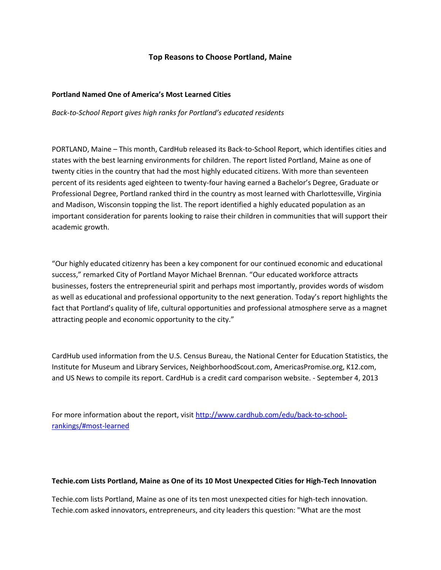# **Top Reasons to Choose Portland, Maine**

### **Portland Named One of America's Most Learned Cities**

*Back-to-School Report gives high ranks for Portland's educated residents*

PORTLAND, Maine – This month, CardHub released its Back-to-School Report, which identifies cities and states with the best learning environments for children. The report listed Portland, Maine as one of twenty cities in the country that had the most highly educated citizens. With more than seventeen percent of its residents aged eighteen to twenty-four having earned a Bachelor's Degree, Graduate or Professional Degree, Portland ranked third in the country as most learned with Charlottesville, Virginia and Madison, Wisconsin topping the list. The report identified a highly educated population as an important consideration for parents looking to raise their children in communities that will support their academic growth.

"Our highly educated citizenry has been a key component for our continued economic and educational success," remarked City of Portland Mayor Michael Brennan. "Our educated workforce attracts businesses, fosters the entrepreneurial spirit and perhaps most importantly, provides words of wisdom as well as educational and professional opportunity to the next generation. Today's report highlights the fact that Portland's quality of life, cultural opportunities and professional atmosphere serve as a magnet attracting people and economic opportunity to the city."

CardHub used information from the U.S. Census Bureau, the National Center for Education Statistics, the Institute for Museum and Library Services, NeighborhoodScout.com, AmericasPromise.org, K12.com, and US News to compile its report. CardHub is a credit card comparison website. - September 4, 2013

For more information about the report, visi[t http://www.cardhub.com/edu/back-to-school](http://www.cardhub.com/edu/back-to-school-rankings/#most-learned)[rankings/#most-learned](http://www.cardhub.com/edu/back-to-school-rankings/#most-learned)

#### **Techie.com Lists Portland, Maine as One of its 10 Most Unexpected Cities for High-Tech Innovation**

Techie.com lists Portland, Maine as one of its ten most unexpected cities for high-tech innovation. Techie.com asked innovators, entrepreneurs, and city leaders this question: "What are the most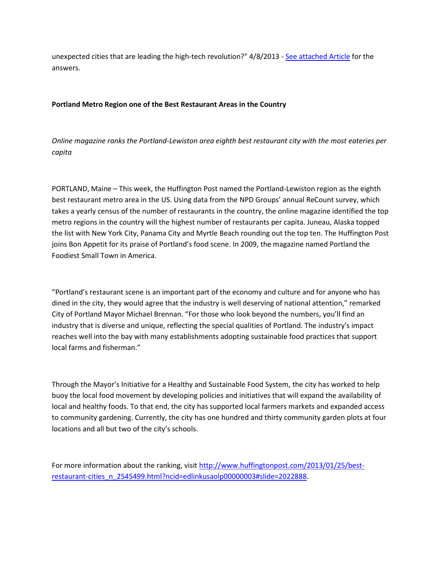unexpected cities that are leading the high-tech revolution?" 4/8/2013 - [See attached Article](http://me-portland.civicplus.com/DocumentCenter/View/1527) for the answers.

## **Portland Metro Region one of the Best Restaurant Areas in the Country**

*Online magazine ranks the Portland-Lewiston area eighth best restaurant city with the most eateries per capita*

PORTLAND, Maine – This week, the Huffington Post named the Portland-Lewiston region as the eighth best restaurant metro area in the US. Using data from the NPD Groups' annual ReCount survey, which takes a yearly census of the number of restaurants in the country, the online magazine identified the top metro regions in the country will the highest number of restaurants per capita. Juneau, Alaska topped the list with New York City, Panama City and Myrtle Beach rounding out the top ten. The Huffington Post joins Bon Appetit for its praise of Portland's food scene. In 2009, the magazine named Portland the Foodiest Small Town in America.

"Portland's restaurant scene is an important part of the economy and culture and for anyone who has dined in the city, they would agree that the industry is well deserving of national attention," remarked City of Portland Mayor Michael Brennan. "For those who look beyond the numbers, you'll find an industry that is diverse and unique, reflecting the special qualities of Portland. The industry's impact reaches well into the bay with many establishments adopting sustainable food practices that support local farms and fisherman."

Through the Mayor's Initiative for a Healthy and Sustainable Food System, the city has worked to help buoy the local food movement by developing policies and initiatives that will expand the availability of local and healthy foods. To that end, the city has supported local farmers markets and expanded access to community gardening. Currently, the city has one hundred and thirty community garden plots at four locations and all but two of the city's schools.

For more information about the ranking, visit [http://www.huffingtonpost.com/2013/01/25/best](http://www.huffingtonpost.com/2013/01/25/best-restaurant-cities_n_2545499.html?ncid=edlinkusaolp00000003#slide=2022888)[restaurant-cities\\_n\\_2545499.html?ncid=edlinkusaolp00000003#slide=2022888.](http://www.huffingtonpost.com/2013/01/25/best-restaurant-cities_n_2545499.html?ncid=edlinkusaolp00000003#slide=2022888)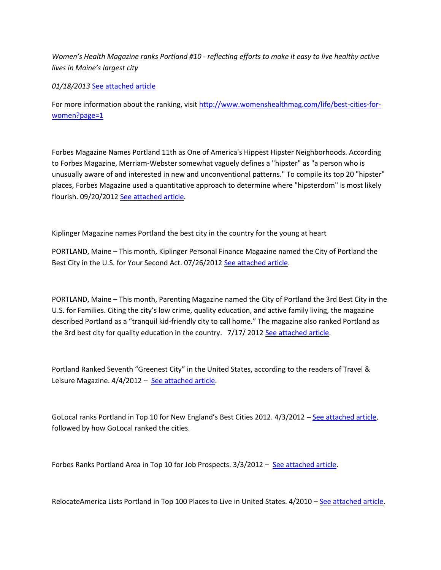*Women's Health Magazine ranks Portland #10 - reflecting efforts to make it easy to live healthy active lives in Maine's largest city* 

*01/18/2013* [See attached article](http://me-portland.civicplus.com/DocumentCenter/View/1528)

For more information about the ranking, visit [http://www.womenshealthmag.com/life/best-cities-for](http://www.womenshealthmag.com/life/best-cities-for-women?page=1)[women?page=1](http://www.womenshealthmag.com/life/best-cities-for-women?page=1)

Forbes Magazine Names Portland 11th as One of America's Hippest Hipster Neighborhoods. According to Forbes Magazine, Merriam-Webster somewhat vaguely defines a "hipster" as "a person who is unusually aware of and interested in new and unconventional patterns." To compile its top 20 "hipster" places, Forbes Magazine used a quantitative approach to determine where "hipsterdom" is most likely flourish. 09/20/201[2 See attached article.](http://me-portland.civicplus.com/DocumentCenter/View/1529)

Kiplinger Magazine names Portland the best city in the country for the young at heart

PORTLAND, Maine – This month, Kiplinger Personal Finance Magazine named the City of Portland the Best City in the U.S. for Your Second Act. 07/26/2012 [See attached article.](http://me-portland.civicplus.com/DocumentCenter/View/1534)

PORTLAND, Maine – This month, Parenting Magazine named the City of Portland the 3rd Best City in the U.S. for Families. Citing the city's low crime, quality education, and active family living, the magazine described Portland as a "tranquil kid-friendly city to call home." The magazine also ranked Portland as the 3rd best city for quality education in the country. 7/17/ 2012 [See attached article.](http://me-portland.civicplus.com/DocumentCenter/View/1536)

Portland Ranked Seventh "Greenest City" in the United States, according to the readers of Travel & Leisure Magazine. 4/4/2012 - [See attached article.](http://me-portland.civicplus.com/DocumentCenter/View/1533)

GoLocal ranks Portland in Top 10 for New England's Best Cities 2012. 4/3/2012 – [See attached article,](http://me-portland.civicplus.com/DocumentCenter/View/1532) followed by how GoLocal ranked the cities.

Forbes Ranks Portland Area in Top 10 for Job Prospects. 3/3/2012 – [See attached article.](http://me-portland.civicplus.com/DocumentCenter/View/1535)

RelocateAmerica Lists Portland in Top 100 Places to Live in United States. 4/2010 – [See attached article.](http://me-portland.civicplus.com/DocumentCenter/View/1539)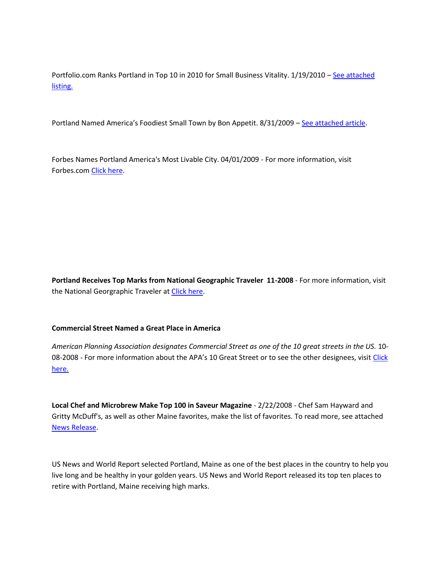Portfolio.com Ranks Portland in Top 10 in 2010 for Small Business Vitality. 1/19/2010 - See attached [listing.](http://me-portland.civicplus.com/DocumentCenter/View/1537)

Portland Named America's Foodiest Small Town by Bon Appetit. 8/31/2009 – [See attached article.](http://me-portland.civicplus.com/DocumentCenter/View/1538)

Forbes Names Portland America's Most Livable City. 04/01/2009 - For more information, visit Forbes.co[m Click here.](http://www.forbes.com/2009/04/01/cities-city-ten-lifestyle-real-estate-livable-cities.html)

**Portland Receives Top Marks from National Geographic Traveler 11-2008** - For more information, visit the National Georgraphic Traveler at [Click here.](http://traveler.nationalgeographic.com/2008/11/historic-destinations-rated/intro-text)

## **Commercial Street Named a Great Place in America**

*American Planning Association designates Commercial Street as one of the 10 great streets in the US.* 10- 08-2008 - For more information about the APA's 10 Great Street or to see the other designees, visit Click [here.](http://www.planning.org/greatplaces/)

**Local Chef and Microbrew Make Top 100 in Saveur Magazine** - 2/22/2008 - Chef Sam Hayward and Gritty McDuff's, as well as other Maine favorites, make the list of favorites. To read more, see attached [News Release.](http://me-portland.civicplus.com/DocumentCenter/View/1540)

US News and World Report selected Portland, Maine as one of the best places in the country to help you live long and be healthy in your golden years. US News and World Report released its top ten places to retire with Portland, Maine receiving high marks.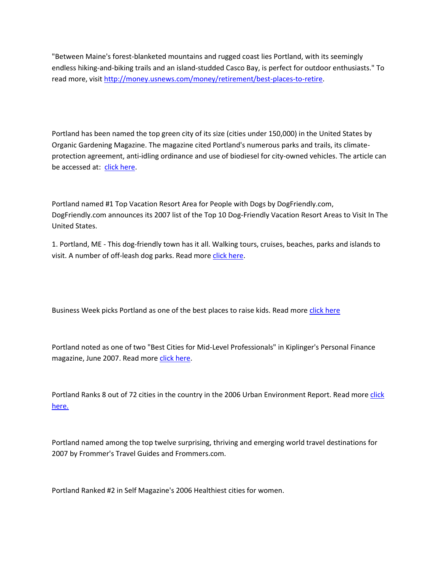"Between Maine's forest-blanketed mountains and rugged coast lies Portland, with its seemingly endless hiking-and-biking trails and an island-studded Casco Bay, is perfect for outdoor enthusiasts." To read more, visi[t http://money.usnews.com/money/retirement/best-places-to-retire.](http://money.usnews.com/money/retirement/best-places-to-retire)

Portland has been named the top green city of its size (cities under 150,000) in the United States by Organic Gardening Magazine. The magazine cited Portland's numerous parks and trails, its climateprotection agreement, anti-idling ordinance and use of biodiesel for city-owned vehicles. The article can be accessed at: [click here.](http://www.organicgardening.com/feature/0,7518,s1-2-10-1637-1-N-1,00.html)

Portland named #1 Top Vacation Resort Area for People with Dogs by DogFriendly.com, DogFriendly.com announces its 2007 list of the Top 10 Dog-Friendly Vacation Resort Areas to Visit In The United States.

1. Portland, ME - This dog-friendly town has it all. Walking tours, cruises, beaches, parks and islands to visit. A number of off-leash dog parks. Read mor[e click here.](http://www.dogfriendly.com/server/newsletters/current.shtml)

Business Week picks Portland as one of the best places to raise kids. Read mor[e click here](http://images.businessweek.com/ss/08/11/1110_best_places_for_kids/20.htm)

Portland noted as one of two "Best Cities for Mid-Level Professionals" in Kiplinger's Personal Finance magazine, June 2007. Read more [click here.](http://www.kiplinger.com/article/real-estate/T006-C000-S002-best-cities-for-mid-level-professionals.html)

Portland Ranks 8 out of 72 cities in the country in the 2006 Urban Environment Report. Read more click [here.](http://www.earthday.org/)

Portland named among the top twelve surprising, thriving and emerging world travel destinations for 2007 by Frommer's Travel Guides and Frommers.com.

Portland Ranked #2 in Self Magazine's 2006 Healthiest cities for women.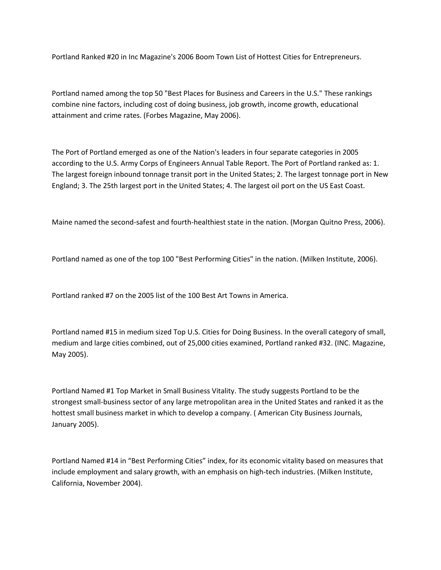Portland Ranked #20 in Inc Magazine's 2006 Boom Town List of Hottest Cities for Entrepreneurs.

Portland named among the top 50 "Best Places for Business and Careers in the U.S." These rankings combine nine factors, including cost of doing business, job growth, income growth, educational attainment and crime rates. (Forbes Magazine, May 2006).

The Port of Portland emerged as one of the Nation's leaders in four separate categories in 2005 according to the U.S. Army Corps of Engineers Annual Table Report. The Port of Portland ranked as: 1. The largest foreign inbound tonnage transit port in the United States; 2. The largest tonnage port in New England; 3. The 25th largest port in the United States; 4. The largest oil port on the US East Coast.

Maine named the second-safest and fourth-healthiest state in the nation. (Morgan Quitno Press, 2006).

Portland named as one of the top 100 "Best Performing Cities" in the nation. (Milken Institute, 2006).

Portland ranked #7 on the 2005 list of the 100 Best Art Towns in America.

Portland named #15 in medium sized Top U.S. Cities for Doing Business. In the overall category of small, medium and large cities combined, out of 25,000 cities examined, Portland ranked #32. (INC. Magazine, May 2005).

Portland Named #1 Top Market in Small Business Vitality. The study suggests Portland to be the strongest small-business sector of any large metropolitan area in the United States and ranked it as the hottest small business market in which to develop a company. ( American City Business Journals, January 2005).

Portland Named #14 in "Best Performing Cities" index, for its economic vitality based on measures that include employment and salary growth, with an emphasis on high-tech industries. (Milken Institute, California, November 2004).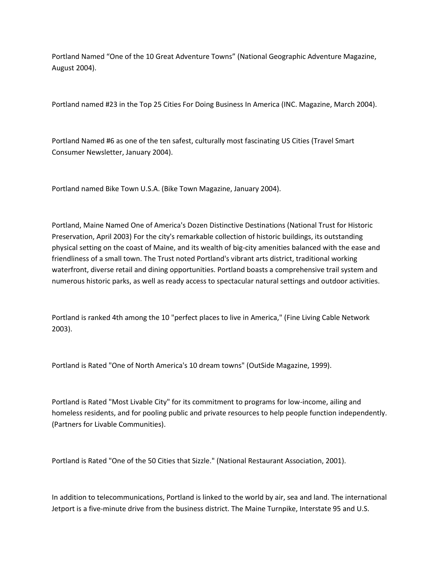Portland Named "One of the 10 Great Adventure Towns" (National Geographic Adventure Magazine, August 2004).

Portland named #23 in the Top 25 Cities For Doing Business In America (INC. Magazine, March 2004).

Portland Named #6 as one of the ten safest, culturally most fascinating US Cities (Travel Smart Consumer Newsletter, January 2004).

Portland named Bike Town U.S.A. (Bike Town Magazine, January 2004).

Portland, Maine Named One of America's Dozen Distinctive Destinations (National Trust for Historic Preservation, April 2003) For the city's remarkable collection of historic buildings, its outstanding physical setting on the coast of Maine, and its wealth of big-city amenities balanced with the ease and friendliness of a small town. The Trust noted Portland's vibrant arts district, traditional working waterfront, diverse retail and dining opportunities. Portland boasts a comprehensive trail system and numerous historic parks, as well as ready access to spectacular natural settings and outdoor activities.

Portland is ranked 4th among the 10 "perfect places to live in America," (Fine Living Cable Network 2003).

Portland is Rated "One of North America's 10 dream towns" (OutSide Magazine, 1999).

Portland is Rated "Most Livable City" for its commitment to programs for low-income, ailing and homeless residents, and for pooling public and private resources to help people function independently. (Partners for Livable Communities).

Portland is Rated "One of the 50 Cities that Sizzle." (National Restaurant Association, 2001).

In addition to telecommunications, Portland is linked to the world by air, sea and land. The international Jetport is a five-minute drive from the business district. The Maine Turnpike, Interstate 95 and U.S.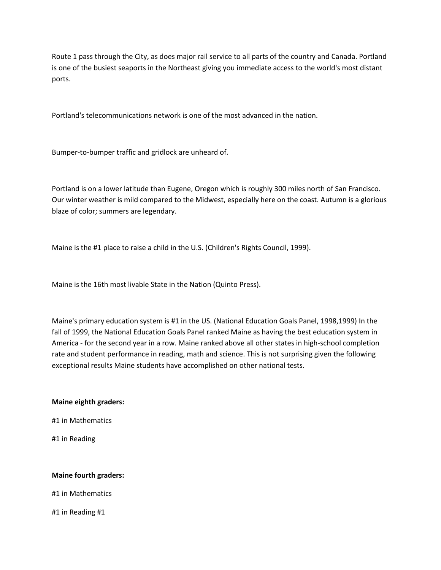Route 1 pass through the City, as does major rail service to all parts of the country and Canada. Portland is one of the busiest seaports in the Northeast giving you immediate access to the world's most distant ports.

Portland's telecommunications network is one of the most advanced in the nation.

Bumper-to-bumper traffic and gridlock are unheard of.

Portland is on a lower latitude than Eugene, Oregon which is roughly 300 miles north of San Francisco. Our winter weather is mild compared to the Midwest, especially here on the coast. Autumn is a glorious blaze of color; summers are legendary.

Maine is the #1 place to raise a child in the U.S. (Children's Rights Council, 1999).

Maine is the 16th most livable State in the Nation (Quinto Press).

Maine's primary education system is #1 in the US. (National Education Goals Panel, 1998,1999) In the fall of 1999, the National Education Goals Panel ranked Maine as having the best education system in America - for the second year in a row. Maine ranked above all other states in high-school completion rate and student performance in reading, math and science. This is not surprising given the following exceptional results Maine students have accomplished on other national tests.

#### **Maine eighth graders:**

#1 in Mathematics

#1 in Reading

#### **Maine fourth graders:**

#1 in Mathematics

#1 in Reading #1